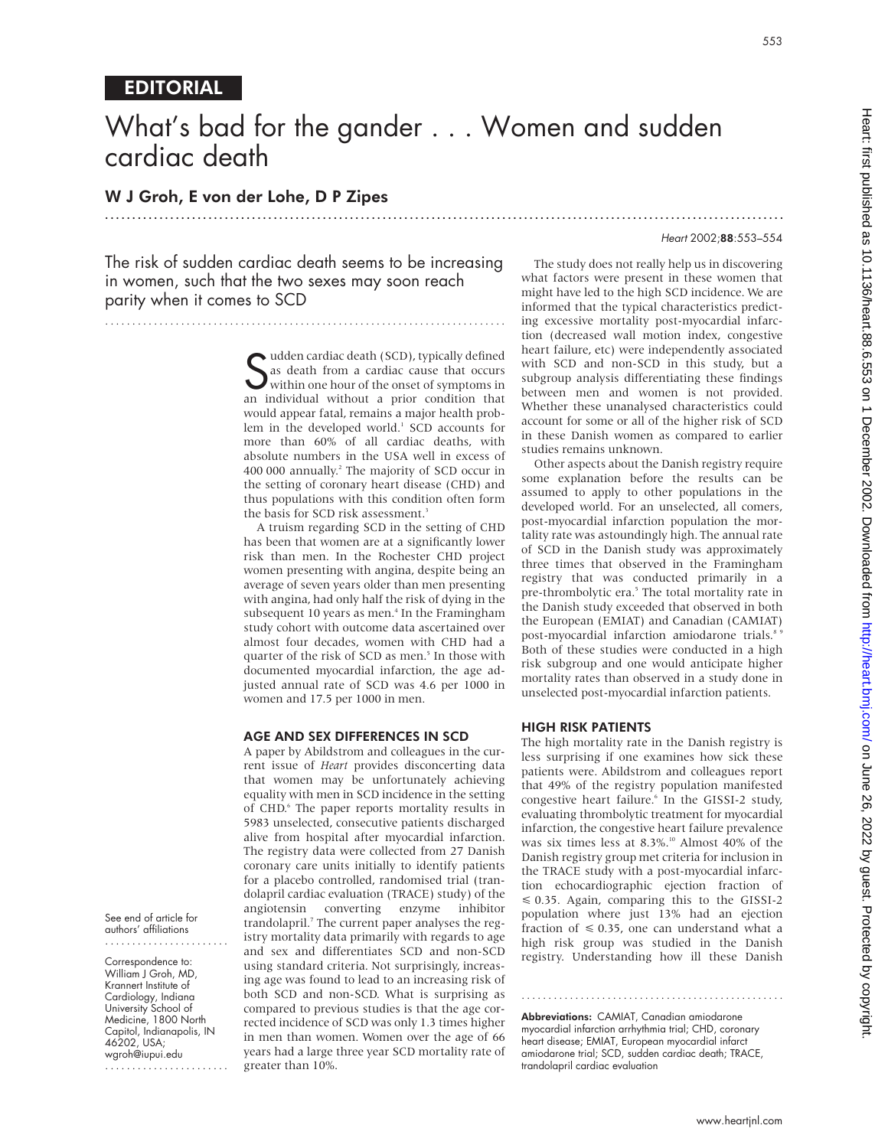# What's bad for the gander... Women and sudden cardiac death

.............................................................................................................................

## W J Groh, E von der Lohe, D P Zipes

#### Heart 2002;88:553–554

The risk of sudden cardiac death seems to be increasing in women, such that the two sexes may soon reach parity when it comes to SCD

..........................................................................

**S** udden cardiac death (SCD), typically defined<br>
s as death from a cardiac cause that occurs<br>
within one hour of the onset of symptoms in<br>
an individual without a prior condition that as death from a cardiac cause that occurs within one hour of the onset of symptoms in an individual without a prior condition that would appear fatal, remains a major health problem in the developed world.<sup>1</sup> SCD accounts for more than 60% of all cardiac deaths, with absolute numbers in the USA well in excess of 400 000 annually.2 The majority of SCD occur in the setting of coronary heart disease (CHD) and thus populations with this condition often form the basis for SCD risk assessment.<sup>3</sup>

A truism regarding SCD in the setting of CHD has been that women are at a significantly lower risk than men. In the Rochester CHD project women presenting with angina, despite being an average of seven years older than men presenting with angina, had only half the risk of dying in the subsequent 10 years as men.<sup>4</sup> In the Framingham study cohort with outcome data ascertained over almost four decades, women with CHD had a quarter of the risk of SCD as men.<sup>5</sup> In those with documented myocardial infarction, the age adjusted annual rate of SCD was 4.6 per 1000 in women and 17.5 per 1000 in men.

#### AGE AND SEX DIFFERENCES IN SCD

A paper by Abildstrom and colleagues in the current issue of *Heart* provides disconcerting data that women may be unfortunately achieving equality with men in SCD incidence in the setting of CHD.<sup>6</sup> The paper reports mortality results in 5983 unselected, consecutive patients discharged alive from hospital after myocardial infarction. The registry data were collected from 27 Danish coronary care units initially to identify patients for a placebo controlled, randomised trial (trandolapril cardiac evaluation (TRACE) study) of the angiotensin converting enzyme inhibitor trandolapril.<sup>7</sup> The current paper analyses the registry mortality data primarily with regards to age and sex and differentiates SCD and non-SCD using standard criteria. Not surprisingly, increasing age was found to lead to an increasing risk of both SCD and non-SCD. What is surprising as compared to previous studies is that the age corrected incidence of SCD was only 1.3 times higher in men than women. Women over the age of 66 years had a large three year SCD mortality rate of greater than 10%.

The study does not really help us in discovering what factors were present in these women that might have led to the high SCD incidence. We are informed that the typical characteristics predicting excessive mortality post-myocardial infarction (decreased wall motion index, congestive heart failure, etc) were independently associated with SCD and non-SCD in this study, but a subgroup analysis differentiating these findings between men and women is not provided. Whether these unanalysed characteristics could account for some or all of the higher risk of SCD in these Danish women as compared to earlier studies remains unknown.

Other aspects about the Danish registry require some explanation before the results can be assumed to apply to other populations in the developed world. For an unselected, all comers, post-myocardial infarction population the mortality rate was astoundingly high. The annual rate of SCD in the Danish study was approximately three times that observed in the Framingham registry that was conducted primarily in a pre-thrombolytic era.<sup>5</sup> The total mortality rate in the Danish study exceeded that observed in both the European (EMIAT) and Canadian (CAMIAT) post-myocardial infarction amiodarone trials.<sup>8</sup> Both of these studies were conducted in a high risk subgroup and one would anticipate higher mortality rates than observed in a study done in unselected post-myocardial infarction patients.

#### HIGH RISK PATIENTS

The high mortality rate in the Danish registry is less surprising if one examines how sick these patients were. Abildstrom and colleagues report that 49% of the registry population manifested congestive heart failure.<sup>6</sup> In the GISSI-2 study, evaluating thrombolytic treatment for myocardial infarction, the congestive heart failure prevalence was six times less at 8.3%.<sup>10</sup> Almost 40% of the Danish registry group met criteria for inclusion in the TRACE study with a post-myocardial infarction echocardiographic ejection fraction of  $\leq 0.35$ . Again, comparing this to the GISSI-2 population where just 13% had an ejection fraction of  $\leq 0.35$ , one can understand what a high risk group was studied in the Danish registry. Understanding how ill these Danish

Abbreviations: CAMIAT, Canadian amiodarone myocardial infarction arrhythmia trial; CHD, coronary heart disease; EMIAT, European myocardial infarct amiodarone trial; SCD, sudden cardiac death; TRACE, trandolapril cardiac evaluation

.................................................

See end of article for authors' affiliations .......................

Correspondence to: William J Groh, MD, Krannert Institute of Cardiology, Indiana University School of Medicine, 1800 North Capitol, Indianapolis, IN 46202, USA; wgroh@iupui.edu

.......................